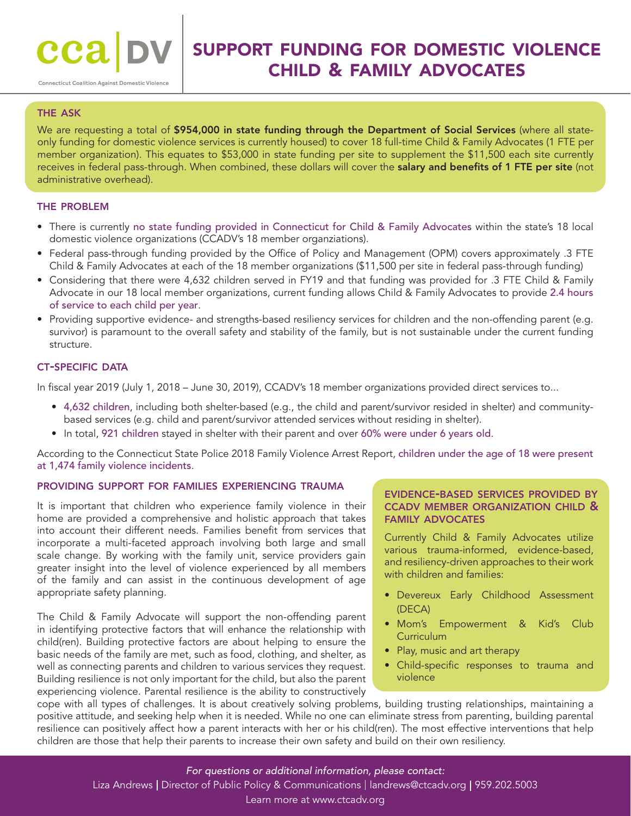# support funding for domestic violence child & family advocates

## **THE ASK**

We are requesting a total of \$954,000 in state funding through the Department of Social Services (where all stateonly funding for domestic violence services is currently housed) to cover 18 full-time Child & Family Advocates (1 FTE per member organization). This equates to \$53,000 in state funding per site to supplement the \$11,500 each site currently receives in federal pass-through. When combined, these dollars will cover the salary and benefits of 1 FTE per site (not administrative overhead).

#### the problem

- There is currently no state funding provided in Connecticut for Child & Family Advocates within the state's 18 local domestic violence organizations (CCADV's 18 member organziations).
- Federal pass-through funding provided by the Office of Policy and Management (OPM) covers approximately .3 FTE Child & Family Advocates at each of the 18 member organizations (\$11,500 per site in federal pass-through funding)
- Considering that there were 4,632 children served in FY19 and that funding was provided for .3 FTE Child & Family Advocate in our 18 local member organizations, current funding allows Child & Family Advocates to provide 2.4 hours of service to each child per year.
- Providing supportive evidence- and strengths-based resiliency services for children and the non-offending parent (e.g. survivor) is paramount to the overall safety and stability of the family, but is not sustainable under the current funding structure.

### **CT-SPECIFIC DATA**

In fiscal year 2019 (July 1, 2018 – June 30, 2019), CCADV's 18 member organizations provided direct services to...

- 4,632 children, including both shelter-based (e.g., the child and parent/survivor resided in shelter) and communitybased services (e.g. child and parent/survivor attended services without residing in shelter).
- In total, 921 children stayed in shelter with their parent and over 60% were under 6 years old.

According to the Connecticut State Police 2018 Family Violence Arrest Report, children under the age of 18 were present at 1,474 family violence incidents.

#### providing support for families experiencing trauma

It is important that children who experience family violence in their home are provided a comprehensive and holistic approach that takes into account their different needs. Families benefit from services that incorporate a multi-faceted approach involving both large and small scale change. By working with the family unit, service providers gain greater insight into the level of violence experienced by all members of the family and can assist in the continuous development of age appropriate safety planning.

The Child & Family Advocate will support the non-offending parent in identifying protective factors that will enhance the relationship with child(ren). Building protective factors are about helping to ensure the basic needs of the family are met, such as food, clothing, and shelter, as well as connecting parents and children to various services they request. Building resilience is not only important for the child, but also the parent experiencing violence. Parental resilience is the ability to constructively

#### evidence-based services provided by ccadv member organization child & family advocates

Currently Child & Family Advocates utilize various trauma-informed, evidence-based, and resiliency-driven approaches to their work with children and families:

- Devereux Early Childhood Assessment (DECA)
- Mom's Empowerment & Kid's Club **Curriculum**
- Play, music and art therapy
- Child-specific responses to trauma and violence

cope with all types of challenges. It is about creatively solving problems, building trusting relationships, maintaining a positive attitude, and seeking help when it is needed. While no one can eliminate stress from parenting, building parental resilience can positively affect how a parent interacts with her or his child(ren). The most effective interventions that help children are those that help their parents to increase their own safety and build on their own resiliency.

#### *For questions or additional information, please contact:*

Liza Andrews | Director of Public Policy & Communications | landrews@ctcadv.org | 959.202.5003

#### Learn more at www.ctcadv.org